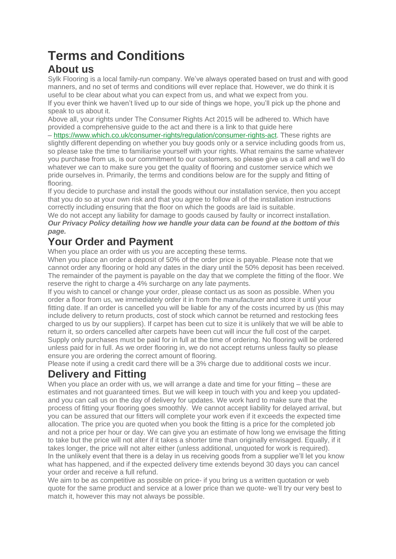# **Terms and Conditions**

### **About us**

Sylk Flooring is a local family-run company. We've always operated based on trust and with good manners, and no set of terms and conditions will ever replace that. However, we do think it is useful to be clear about what you can expect from us, and what we expect from you. If you ever think we haven't lived up to our side of things we hope, you'll pick up the phone and speak to us about it.

Above all, your rights under The Consumer Rights Act 2015 will be adhered to. Which have provided a comprehensive guide to the act and there is a link to that guide here

– [https://www.which.co.uk/consumer-rights/regulation/consumer-rights-act.](https://www.which.co.uk/consumer-rights/regulation/consumer-rights-act) These rights are slightly different depending on whether you buy goods only or a service including goods from us, so please take the time to familiarise yourself with your rights. What remains the same whatever you purchase from us, is our commitment to our customers, so please give us a call and we'll do whatever we can to make sure you get the quality of flooring and customer service which we pride ourselves in. Primarily, the terms and conditions below are for the supply and fitting of flooring.

If you decide to purchase and install the goods without our installation service, then you accept that you do so at your own risk and that you agree to follow all of the installation instructions correctly including ensuring that the floor on which the goods are laid is suitable.

We do not accept any liability for damage to goods caused by faulty or incorrect installation. *Our Privacy Policy detailing how we handle your data can be found at the bottom of this page.*

# **Your Order and Payment**

When you place an order with us you are accepting these terms.

When you place an order a deposit of 50% of the order price is payable. Please note that we cannot order any flooring or hold any dates in the diary until the 50% deposit has been received. The remainder of the payment is payable on the day that we complete the fitting of the floor. We reserve the right to charge a 4% surcharge on any late payments.

If you wish to cancel or change your order, please contact us as soon as possible. When you order a floor from us, we immediately order it in from the manufacturer and store it until your fitting date. If an order is cancelled you will be liable for any of the costs incurred by us (this may include delivery to return products, cost of stock which cannot be returned and restocking fees charged to us by our suppliers). If carpet has been cut to size it is unlikely that we will be able to return it, so orders cancelled after carpets have been cut will incur the full cost of the carpet. Supply only purchases must be paid for in full at the time of ordering. No flooring will be ordered unless paid for in full. As we order flooring in, we do not accept returns unless faulty so please ensure you are ordering the correct amount of flooring.

Please note if using a credit card there will be a 3% charge due to additional costs we incur.

# **Delivery and Fitting**

When you place an order with us, we will arrange a date and time for your fitting – these are estimates and not guaranteed times. But we will keep in touch with you and keep you updatedand you can call us on the day of delivery for updates. We work hard to make sure that the process of fitting your flooring goes smoothly. We cannot accept liability for delayed arrival, but you can be assured that our fitters will complete your work even if it exceeds the expected time allocation. The price you are quoted when you book the fitting is a price for the completed job and not a price per hour or day. We can give you an estimate of how long we envisage the fitting to take but the price will not alter if it takes a shorter time than originally envisaged. Equally, if it takes longer, the price will not alter either (unless additional, unquoted for work is required). In the unlikely event that there is a delay in us receiving goods from a supplier we'll let you know what has happened, and if the expected delivery time extends beyond 30 days you can cancel your order and receive a full refund.

We aim to be as competitive as possible on price- if you bring us a written quotation or web quote for the same product and service at a lower price than we quote- we'll try our very best to match it, however this may not always be possible.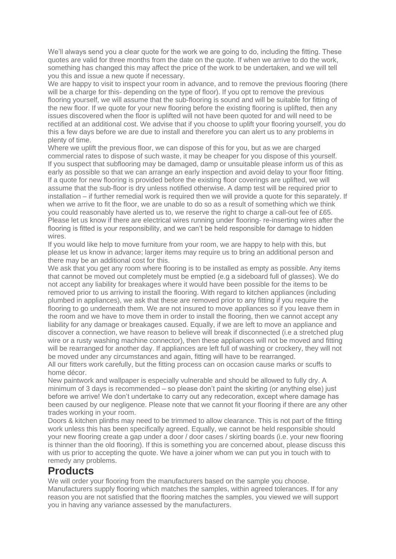We'll always send you a clear quote for the work we are going to do, including the fitting. These quotes are valid for three months from the date on the quote. If when we arrive to do the work, something has changed this may affect the price of the work to be undertaken, and we will tell you this and issue a new quote if necessary.

We are happy to visit to inspect your room in advance, and to remove the previous flooring (there will be a charge for this- depending on the type of floor). If you opt to remove the previous flooring yourself, we will assume that the sub-flooring is sound and will be suitable for fitting of the new floor. If we quote for your new flooring before the existing flooring is uplifted, then any issues discovered when the floor is uplifted will not have been quoted for and will need to be rectified at an additional cost. We advise that if you choose to uplift your flooring yourself, you do this a few days before we are due to install and therefore you can alert us to any problems in plenty of time.

Where we uplift the previous floor, we can dispose of this for you, but as we are charged commercial rates to dispose of such waste, it may be cheaper for you dispose of this yourself. If you suspect that subflooring may be damaged, damp or unsuitable please inform us of this as early as possible so that we can arrange an early inspection and avoid delay to your floor fitting. If a quote for new flooring is provided before the existing floor coverings are uplifted, we will assume that the sub-floor is dry unless notified otherwise. A damp test will be required prior to installation – if further remedial work is required then we will provide a quote for this separately. If when we arrive to fit the floor, we are unable to do so as a result of something which we think you could reasonably have alerted us to, we reserve the right to charge a call-out fee of £65. Please let us know if there are electrical wires running under flooring- re-inserting wires after the flooring is fitted is your responsibility, and we can't be held responsible for damage to hidden wires.

If you would like help to move furniture from your room, we are happy to help with this, but please let us know in advance; larger items may require us to bring an additional person and there may be an additional cost for this.

We ask that you get any room where flooring is to be installed as empty as possible. Any items that cannot be moved out completely must be emptied (e.g a sideboard full of glasses). We do not accept any liability for breakages where it would have been possible for the items to be removed prior to us arriving to install the flooring. With regard to kitchen appliances (including plumbed in appliances), we ask that these are removed prior to any fitting if you require the flooring to go underneath them. We are not insured to move appliances so if you leave them in the room and we have to move them in order to install the flooring, then we cannot accept any liability for any damage or breakages caused. Equally, if we are left to move an appliance and discover a connection, we have reason to believe will break if disconnected (i.e a stretched plug wire or a rusty washing machine connector), then these appliances will not be moved and fitting will be rearranged for another day. If appliances are left full of washing or crockery, they will not be moved under any circumstances and again, fitting will have to be rearranged.

All our fitters work carefully, but the fitting process can on occasion cause marks or scuffs to home décor.

New paintwork and wallpaper is especially vulnerable and should be allowed to fully dry. A minimum of 3 days is recommended – so please don't paint the skirting (or anything else) just before we arrive! We don't undertake to carry out any redecoration, except where damage has been caused by our negligence. Please note that we cannot fit your flooring if there are any other trades working in your room.

Doors & kitchen plinths may need to be trimmed to allow clearance. This is not part of the fitting work unless this has been specifically agreed. Equally, we cannot be held responsible should your new flooring create a gap under a door / door cases / skirting boards (i.e. your new flooring is thinner than the old flooring). If this is something you are concerned about, please discuss this with us prior to accepting the quote. We have a joiner whom we can put you in touch with to remedy any problems.

#### **Products**

We will order your flooring from the manufacturers based on the sample you choose. Manufacturers supply flooring which matches the samples, within agreed tolerances. If for any reason you are not satisfied that the flooring matches the samples, you viewed we will support you in having any variance assessed by the manufacturers.